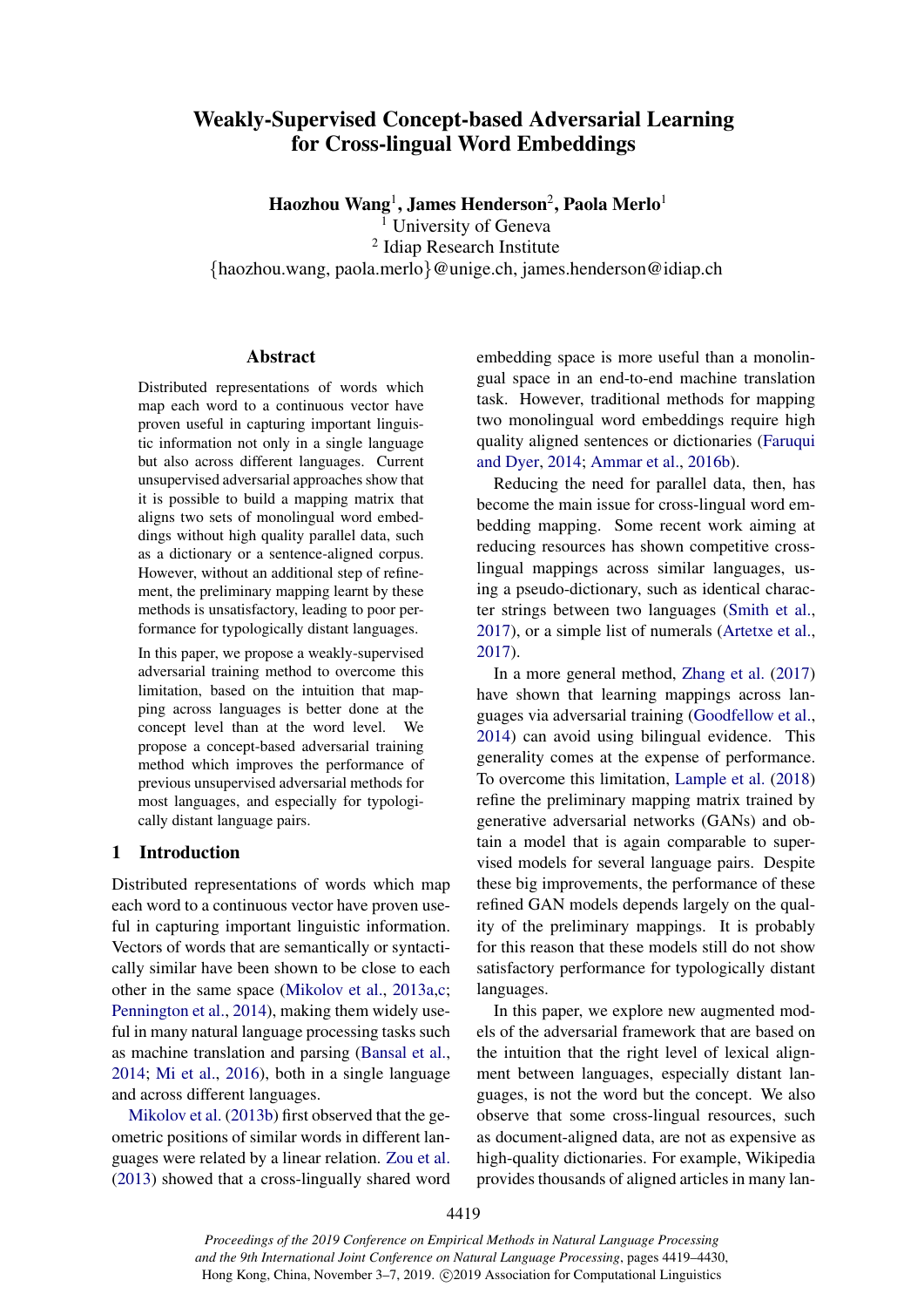# Weakly-Supervised Concept-based Adversarial Learning for Cross-lingual Word Embeddings

Haozhou Wang<sup>1</sup>, James Henderson<sup>2</sup>, Paola Merlo<sup>1</sup>

University of Geneva

2 Idiap Research Institute

{haozhou.wang, paola.merlo}@unige.ch, james.henderson@idiap.ch

### Abstract

Distributed representations of words which map each word to a continuous vector have proven useful in capturing important linguistic information not only in a single language but also across different languages. Current unsupervised adversarial approaches show that it is possible to build a mapping matrix that aligns two sets of monolingual word embeddings without high quality parallel data, such as a dictionary or a sentence-aligned corpus. However, without an additional step of refinement, the preliminary mapping learnt by these methods is unsatisfactory, leading to poor performance for typologically distant languages.

In this paper, we propose a weakly-supervised adversarial training method to overcome this limitation, based on the intuition that mapping across languages is better done at the concept level than at the word level. We propose a concept-based adversarial training method which improves the performance of previous unsupervised adversarial methods for most languages, and especially for typologically distant language pairs.

## 1 Introduction

Distributed representations of words which map each word to a continuous vector have proven useful in capturing important linguistic information. Vectors of words that are semantically or syntactically similar have been shown to be close to each other in the same space [\(Mikolov et al.,](#page-10-0) [2013a](#page-10-0)[,c;](#page-10-1) [Pennington et al.,](#page-10-2) [2014\)](#page-10-2), making them widely useful in many natural language processing tasks such as machine translation and parsing [\(Bansal et al.,](#page-9-0) [2014;](#page-9-0) [Mi et al.,](#page-10-3) [2016\)](#page-10-3), both in a single language and across different languages.

[Mikolov et al.](#page-10-4) [\(2013b\)](#page-10-4) first observed that the geometric positions of similar words in different languages were related by a linear relation. [Zou et al.](#page-11-0) [\(2013\)](#page-11-0) showed that a cross-lingually shared word embedding space is more useful than a monolingual space in an end-to-end machine translation task. However, traditional methods for mapping two monolingual word embeddings require high quality aligned sentences or dictionaries [\(Faruqui](#page-9-1) [and Dyer,](#page-9-1) [2014;](#page-9-1) [Ammar et al.,](#page-9-2) [2016b\)](#page-9-2).

Reducing the need for parallel data, then, has become the main issue for cross-lingual word embedding mapping. Some recent work aiming at reducing resources has shown competitive crosslingual mappings across similar languages, using a pseudo-dictionary, such as identical character strings between two languages [\(Smith et al.,](#page-10-5) [2017\)](#page-10-5), or a simple list of numerals [\(Artetxe et al.,](#page-9-3) [2017\)](#page-9-3).

In a more general method, [Zhang et al.](#page-10-6) [\(2017\)](#page-10-6) have shown that learning mappings across languages via adversarial training [\(Goodfellow et al.,](#page-9-4) [2014\)](#page-9-4) can avoid using bilingual evidence. This generality comes at the expense of performance. To overcome this limitation, [Lample et al.](#page-10-7) [\(2018\)](#page-10-7) refine the preliminary mapping matrix trained by generative adversarial networks (GANs) and obtain a model that is again comparable to supervised models for several language pairs. Despite these big improvements, the performance of these refined GAN models depends largely on the quality of the preliminary mappings. It is probably for this reason that these models still do not show satisfactory performance for typologically distant languages.

In this paper, we explore new augmented models of the adversarial framework that are based on the intuition that the right level of lexical alignment between languages, especially distant languages, is not the word but the concept. We also observe that some cross-lingual resources, such as document-aligned data, are not as expensive as high-quality dictionaries. For example, Wikipedia provides thousands of aligned articles in many lan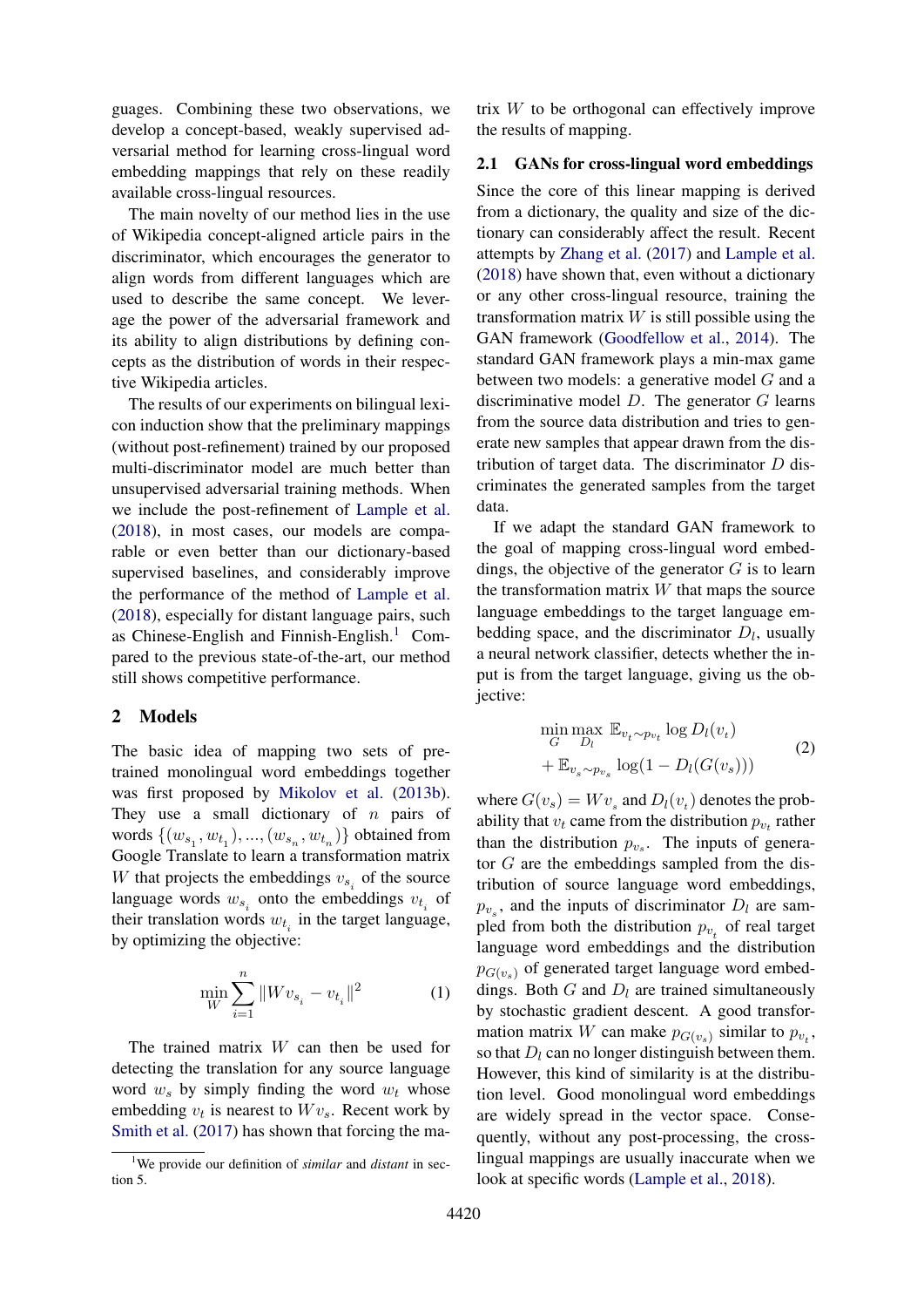guages. Combining these two observations, we develop a concept-based, weakly supervised adversarial method for learning cross-lingual word embedding mappings that rely on these readily available cross-lingual resources.

The main novelty of our method lies in the use of Wikipedia concept-aligned article pairs in the discriminator, which encourages the generator to align words from different languages which are used to describe the same concept. We leverage the power of the adversarial framework and its ability to align distributions by defining concepts as the distribution of words in their respective Wikipedia articles.

The results of our experiments on bilingual lexicon induction show that the preliminary mappings (without post-refinement) trained by our proposed multi-discriminator model are much better than unsupervised adversarial training methods. When we include the post-refinement of [Lample et al.](#page-10-7) [\(2018\)](#page-10-7), in most cases, our models are comparable or even better than our dictionary-based supervised baselines, and considerably improve the performance of the method of [Lample et al.](#page-10-7) [\(2018\)](#page-10-7), especially for distant language pairs, such as Chinese-English and Finnish-English.<sup>[1](#page-1-0)</sup> Compared to the previous state-of-the-art, our method still shows competitive performance.

### 2 Models

The basic idea of mapping two sets of pretrained monolingual word embeddings together was first proposed by [Mikolov et al.](#page-10-4) [\(2013b\)](#page-10-4). They use a small dictionary of  $n$  pairs of words  $\left\{ (w_{s_1}, w_{t_1}), ..., (w_{s_n}, w_{t_n}) \right\}$  obtained from Google Translate to learn a transformation matrix W that projects the embeddings  $v_{s_i}$  of the source language words  $w_{s_i}$  onto the embeddings  $v_{t_i}$  of their translation words  $w_{t_i}$  in the target language, by optimizing the objective:

<span id="page-1-1"></span>
$$
\min_{W} \sum_{i=1}^{n} \|Wv_{s_i} - v_{t_i}\|^2 \tag{1}
$$

The trained matrix  $W$  can then be used for detecting the translation for any source language word  $w_s$  by simply finding the word  $w_t$  whose embedding  $v_t$  is nearest to  $Wv_s$ . Recent work by [Smith et al.](#page-10-5) [\(2017\)](#page-10-5) has shown that forcing the matrix W to be orthogonal can effectively improve the results of mapping.

### 2.1 GANs for cross-lingual word embeddings

Since the core of this linear mapping is derived from a dictionary, the quality and size of the dictionary can considerably affect the result. Recent attempts by [Zhang et al.](#page-10-6) [\(2017\)](#page-10-6) and [Lample et al.](#page-10-7) [\(2018\)](#page-10-7) have shown that, even without a dictionary or any other cross-lingual resource, training the transformation matrix  $W$  is still possible using the GAN framework [\(Goodfellow et al.,](#page-9-4) [2014\)](#page-9-4). The standard GAN framework plays a min-max game between two models: a generative model G and a discriminative model  $D$ . The generator  $G$  learns from the source data distribution and tries to generate new samples that appear drawn from the distribution of target data. The discriminator  $D$  discriminates the generated samples from the target data.

If we adapt the standard GAN framework to the goal of mapping cross-lingual word embeddings, the objective of the generator  $G$  is to learn the transformation matrix  $W$  that maps the source language embeddings to the target language embedding space, and the discriminator  $D_l$ , usually a neural network classifier, detects whether the input is from the target language, giving us the objective:

$$
\min_{G} \max_{D_l} \mathbb{E}_{v_t \sim p_{v_t}} \log D_l(v_t) + \mathbb{E}_{v_s \sim p_{v_s}} \log(1 - D_l(G(v_s))) \tag{2}
$$

where  $G(v_s) = Wv_s$  and  $D_l(v_t)$  denotes the probability that  $v_t$  came from the distribution  $p_{v_t}$  rather than the distribution  $p_{v_s}$ . The inputs of generator G are the embeddings sampled from the distribution of source language word embeddings,  $p_{v_s}$ , and the inputs of discriminator  $D_l$  are sampled from both the distribution  $p_{v_t}$  of real target language word embeddings and the distribution  $p_{G(v_s)}$  of generated target language word embeddings. Both  $G$  and  $D_l$  are trained simultaneously by stochastic gradient descent. A good transformation matrix W can make  $p_{G(v_s)}$  similar to  $p_{v_t}$ , so that  $D_l$  can no longer distinguish between them. However, this kind of similarity is at the distribution level. Good monolingual word embeddings are widely spread in the vector space. Consequently, without any post-processing, the crosslingual mappings are usually inaccurate when we look at specific words [\(Lample et al.,](#page-10-7) [2018\)](#page-10-7).

<span id="page-1-0"></span><sup>1</sup>We provide our definition of *similar* and *distant* in section 5.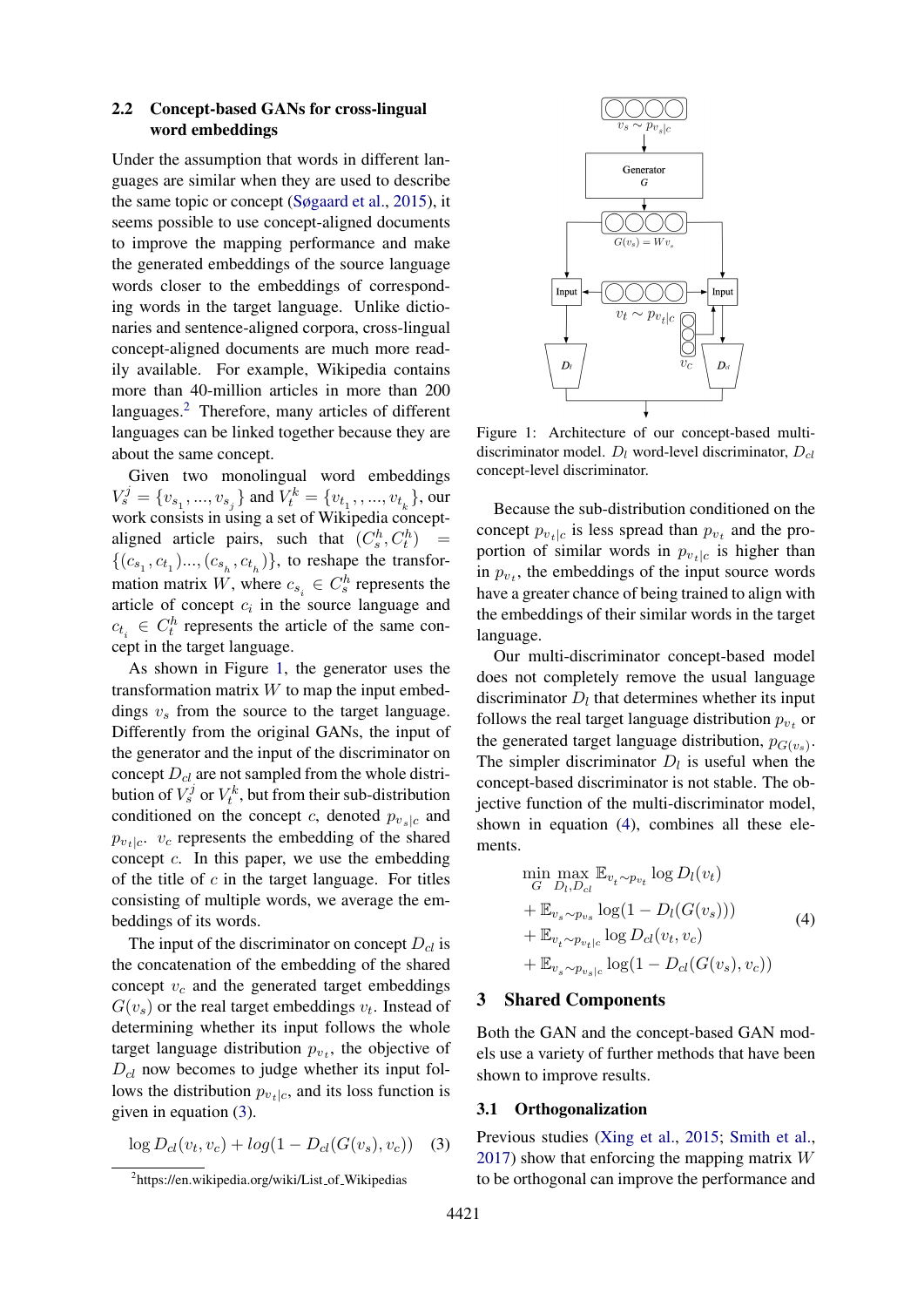### 2.2 Concept-based GANs for cross-lingual word embeddings

Under the assumption that words in different languages are similar when they are used to describe the same topic or concept [\(Søgaard et al.,](#page-10-8) [2015\)](#page-10-8), it seems possible to use concept-aligned documents to improve the mapping performance and make the generated embeddings of the source language words closer to the embeddings of corresponding words in the target language. Unlike dictionaries and sentence-aligned corpora, cross-lingual concept-aligned documents are much more readily available. For example, Wikipedia contains more than 40-million articles in more than 200 languages.<sup>[2](#page-2-0)</sup> Therefore, many articles of different languages can be linked together because they are about the same concept.

Given two monolingual word embeddings  $V^j_s = \{v_{s_1}, ..., v_{s_j}\}$  and  $\bar{V}^k_t = \{v_{t_1}, ..., v_{t_k}\}$ , our work consists in using a set of Wikipedia conceptaligned article pairs, such that  $(C_s^h, C_t^h)$  =  $\{(c_{s_1}, c_{t_1})..., (c_{s_h}, c_{t_h})\}$ , to reshape the transformation matrix W, where  $c_{s_i} \in C_s^h$  represents the article of concept  $c_i$  in the source language and  $c_{t_i} \in C_t^h$  represents the article of the same concept in the target language.

As shown in Figure [1,](#page-2-1) the generator uses the transformation matrix  $W$  to map the input embeddings  $v_s$  from the source to the target language. Differently from the original GANs, the input of the generator and the input of the discriminator on concept  $D_{cl}$  are not sampled from the whole distribution of  $V_s^j$  or  $V_t^k$ , but from their sub-distribution conditioned on the concept c, denoted  $p_{v,s}|_c$  and  $p_{v_t}|_c$ .  $v_c$  represents the embedding of the shared concept  $c$ . In this paper, we use the embedding of the title of  $c$  in the target language. For titles consisting of multiple words, we average the embeddings of its words.

The input of the discriminator on concept  $D_{cl}$  is the concatenation of the embedding of the shared concept  $v_c$  and the generated target embeddings  $G(v_s)$  or the real target embeddings  $v_t$ . Instead of determining whether its input follows the whole target language distribution  $p_{v_t}$ , the objective of  $D_{cl}$  now becomes to judge whether its input follows the distribution  $p_{v_t|c}$ , and its loss function is given in equation [\(3\)](#page-2-2).

<span id="page-2-2"></span>
$$
\log D_{cl}(v_t, v_c) + \log(1 - D_{cl}(G(v_s), v_c)) \quad (3)
$$

<span id="page-2-1"></span>

Figure 1: Architecture of our concept-based multidiscriminator model.  $D_l$  word-level discriminator,  $D_{cl}$ concept-level discriminator.

Because the sub-distribution conditioned on the concept  $p_{v_t}|c$  is less spread than  $p_{v_t}$  and the proportion of similar words in  $p_{v_t|c}$  is higher than in  $p_{v_t}$ , the embeddings of the input source words have a greater chance of being trained to align with the embeddings of their similar words in the target language.

Our multi-discriminator concept-based model does not completely remove the usual language discriminator  $D_l$  that determines whether its input follows the real target language distribution  $p_{v_t}$  or the generated target language distribution,  $p_{G(v_s)}$ . The simpler discriminator  $D_l$  is useful when the concept-based discriminator is not stable. The objective function of the multi-discriminator model, shown in equation [\(4\)](#page-2-3), combines all these elements.

<span id="page-2-3"></span>
$$
\min_{G} \max_{D_l, D_{cl}} \mathbb{E}_{v_t \sim p_{v_t}} \log D_l(v_t)
$$
\n
$$
+ \mathbb{E}_{v_s \sim p_{v_s}} \log(1 - D_l(G(v_s)))
$$
\n
$$
+ \mathbb{E}_{v_t \sim p_{v_t|c}} \log D_{cl}(v_t, v_c)
$$
\n
$$
+ \mathbb{E}_{v_s \sim p_{v_s|c}} \log(1 - D_{cl}(G(v_s), v_c))
$$
\n(4)

#### 3 Shared Components

Both the GAN and the concept-based GAN models use a variety of further methods that have been shown to improve results.

#### 3.1 Orthogonalization

Previous studies [\(Xing et al.,](#page-10-9) [2015;](#page-10-9) [Smith et al.,](#page-10-5)  $2017$ ) show that enforcing the mapping matrix W to be orthogonal can improve the performance and

<span id="page-2-0"></span><sup>&</sup>lt;sup>2</sup>https://en.wikipedia.org/wiki/List\_of\_Wikipedias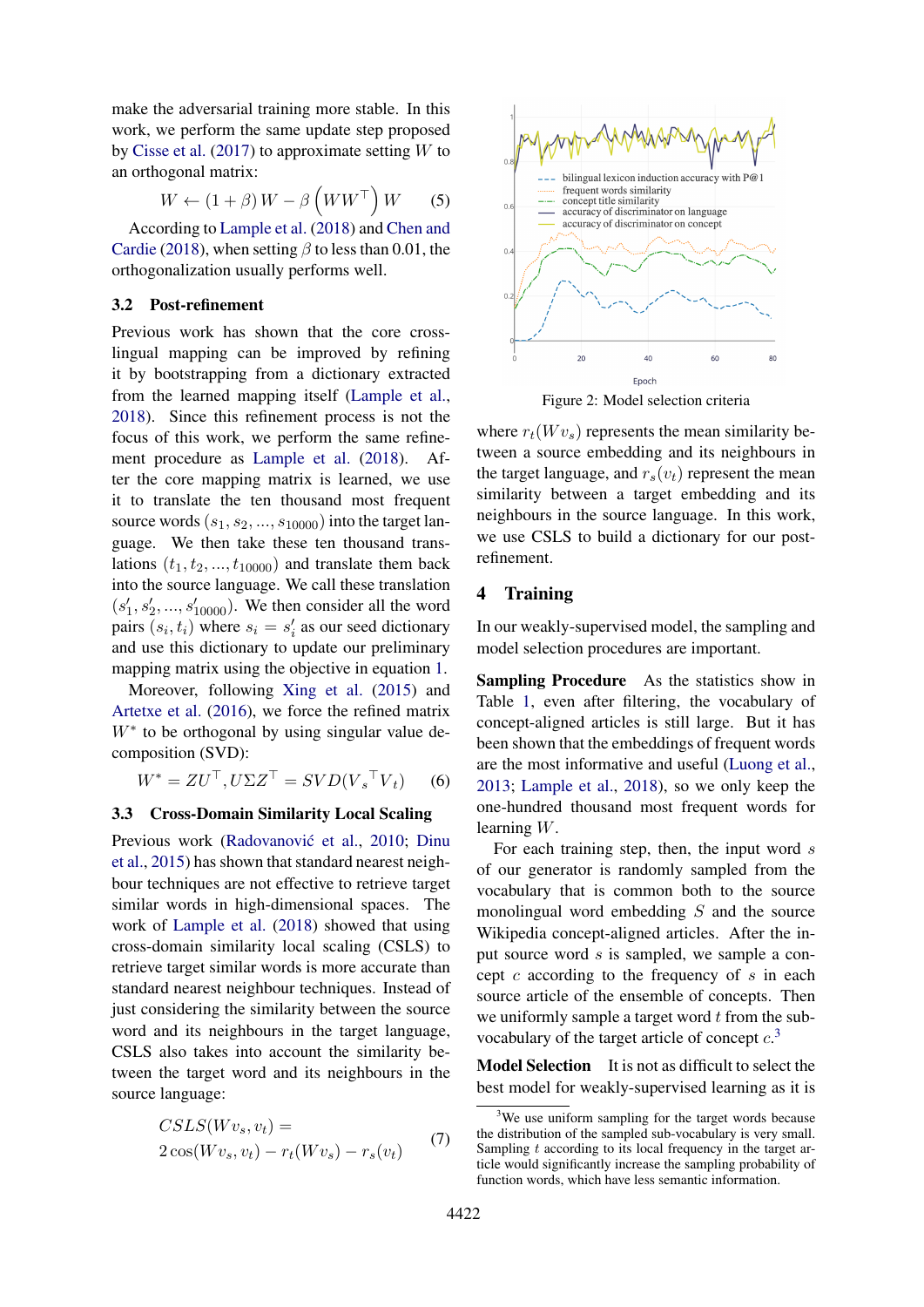make the adversarial training more stable. In this work, we perform the same update step proposed by [Cisse et al.](#page-9-5) [\(2017\)](#page-9-5) to approximate setting  $W$  to an orthogonal matrix:

$$
W \leftarrow (1 + \beta) W - \beta \left( W W^{\top} \right) W \qquad (5)
$$

According to [Lample et al.](#page-10-7) [\(2018\)](#page-10-7) and [Chen and](#page-9-6) [Cardie](#page-9-6) [\(2018\)](#page-9-6), when setting  $\beta$  to less than 0.01, the orthogonalization usually performs well.

### <span id="page-3-2"></span>3.2 Post-refinement

Previous work has shown that the core crosslingual mapping can be improved by refining it by bootstrapping from a dictionary extracted from the learned mapping itself [\(Lample et al.,](#page-10-7) [2018\)](#page-10-7). Since this refinement process is not the focus of this work, we perform the same refinement procedure as [Lample et al.](#page-10-7) [\(2018\)](#page-10-7). After the core mapping matrix is learned, we use it to translate the ten thousand most frequent source words  $(s_1, s_2, \ldots, s_{10000})$  into the target language. We then take these ten thousand translations  $(t_1, t_2, ..., t_{10000})$  and translate them back into the source language. We call these translation  $(s'_1, s'_2, ..., s'_{10000})$ . We then consider all the word pairs  $(s_i, t_i)$  where  $s_i = s'_i$  as our seed dictionary and use this dictionary to update our preliminary mapping matrix using the objective in equation [1.](#page-1-1)

Moreover, following [Xing et al.](#page-10-9) [\(2015\)](#page-10-9) and [Artetxe et al.](#page-9-7) [\(2016\)](#page-9-7), we force the refined matrix W<sup>∗</sup> to be orthogonal by using singular value decomposition (SVD):

$$
W^* = ZU^\top, U\Sigma Z^\top = SVD(V_s^\top V_t) \tag{6}
$$

#### <span id="page-3-3"></span>3.3 Cross-Domain Similarity Local Scaling

Previous work (Radovanović et al., [2010;](#page-10-10) [Dinu](#page-9-8) [et al.,](#page-9-8) [2015\)](#page-9-8) has shown that standard nearest neighbour techniques are not effective to retrieve target similar words in high-dimensional spaces. The work of [Lample et al.](#page-10-7) [\(2018\)](#page-10-7) showed that using cross-domain similarity local scaling (CSLS) to retrieve target similar words is more accurate than standard nearest neighbour techniques. Instead of just considering the similarity between the source word and its neighbours in the target language, CSLS also takes into account the similarity between the target word and its neighbours in the source language:

$$
CSLS(Wvs, vt) =
$$
  
2 cos(Wv<sub>s</sub>, v<sub>t</sub>) - r<sub>t</sub>(Wv<sub>s</sub>) - r<sub>s</sub>(v<sub>t</sub>) (7)

<span id="page-3-1"></span>

Figure 2: Model selection criteria

where  $r_t(Wv_s)$  represents the mean similarity between a source embedding and its neighbours in the target language, and  $r_s(v_t)$  represent the mean similarity between a target embedding and its neighbours in the source language. In this work, we use CSLS to build a dictionary for our postrefinement.

### 4 Training

In our weakly-supervised model, the sampling and model selection procedures are important.

Sampling Procedure As the statistics show in Table [1,](#page-4-0) even after filtering, the vocabulary of concept-aligned articles is still large. But it has been shown that the embeddings of frequent words are the most informative and useful [\(Luong et al.,](#page-10-11) [2013;](#page-10-11) [Lample et al.,](#page-10-7) [2018\)](#page-10-7), so we only keep the one-hundred thousand most frequent words for learning W.

For each training step, then, the input word  $s$ of our generator is randomly sampled from the vocabulary that is common both to the source monolingual word embedding  $S$  and the source Wikipedia concept-aligned articles. After the input source word s is sampled, we sample a concept  $c$  according to the frequency of  $s$  in each source article of the ensemble of concepts. Then we uniformly sample a target word  $t$  from the subvocabulary of the target article of concept  $c^3$  $c^3$ .

Model Selection It is not as difficult to select the best model for weakly-supervised learning as it is

<span id="page-3-0"></span><sup>&</sup>lt;sup>3</sup>We use uniform sampling for the target words because the distribution of the sampled sub-vocabulary is very small. Sampling  $t$  according to its local frequency in the target article would significantly increase the sampling probability of function words, which have less semantic information.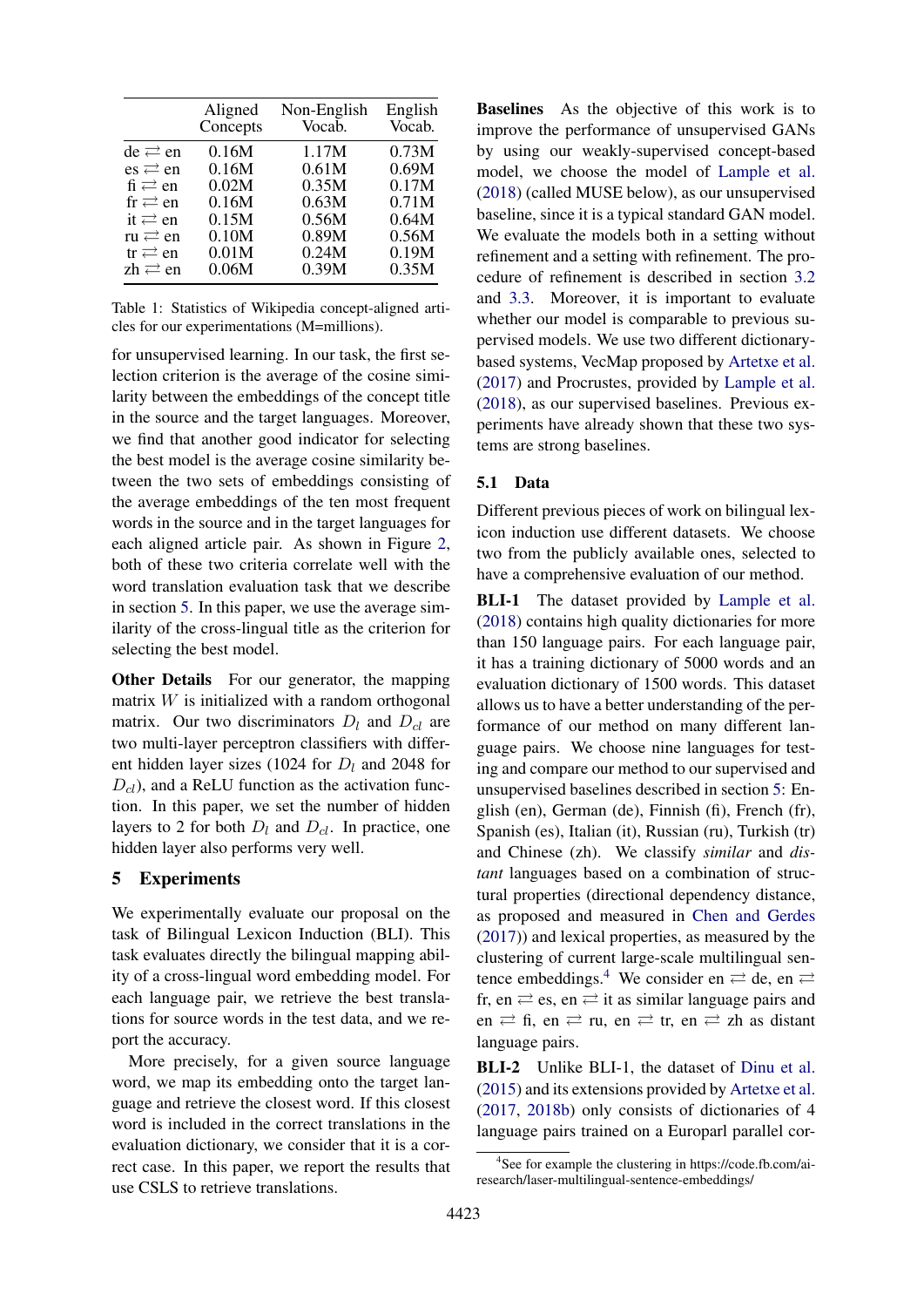<span id="page-4-0"></span>

|                                        | Aligned<br>Concepts | Non-English<br>Vocab. | English<br>Vocab. |
|----------------------------------------|---------------------|-----------------------|-------------------|
| $de \rightleftarrows en$               | 0.16M               | 1.17M                 | 0.73M             |
| $\text{es} \rightleftarrows \text{en}$ | 0.16M               | 0.61M                 | 0.69M             |
| $fi \rightleftarrows en$               | 0.02M               | 0.35M                 | 0.17M             |
| $fr \rightleftarrows en$               | 0.16M               | 0.63M                 | 0.71M             |
| it $\rightleftarrows$ en               | 0.15M               | 0.56M                 | 0.64M             |
| ru $\rightleftarrows$ en               | 0.10M               | 0.89M                 | 0.56M             |
| $tr \rightleftarrows en$               | 0.01M               | 0.24M                 | 0.19M             |
| $zh \rightleftarrows en$               | 0.06M               | 0.39M                 | 0.35M             |

Table 1: Statistics of Wikipedia concept-aligned articles for our experimentations (M=millions).

for unsupervised learning. In our task, the first selection criterion is the average of the cosine similarity between the embeddings of the concept title in the source and the target languages. Moreover, we find that another good indicator for selecting the best model is the average cosine similarity between the two sets of embeddings consisting of the average embeddings of the ten most frequent words in the source and in the target languages for each aligned article pair. As shown in Figure [2,](#page-3-1) both of these two criteria correlate well with the word translation evaluation task that we describe in section [5.](#page-4-1) In this paper, we use the average similarity of the cross-lingual title as the criterion for selecting the best model.

**Other Details** For our generator, the mapping matrix  $W$  is initialized with a random orthogonal matrix. Our two discriminators  $D_l$  and  $D_{cl}$  are two multi-layer perceptron classifiers with different hidden layer sizes (1024 for  $D_l$  and 2048 for  $D_{cl}$ ), and a ReLU function as the activation function. In this paper, we set the number of hidden layers to 2 for both  $D_l$  and  $D_{cl}$ . In practice, one hidden layer also performs very well.

### <span id="page-4-1"></span>5 Experiments

We experimentally evaluate our proposal on the task of Bilingual Lexicon Induction (BLI). This task evaluates directly the bilingual mapping ability of a cross-lingual word embedding model. For each language pair, we retrieve the best translations for source words in the test data, and we report the accuracy.

More precisely, for a given source language word, we map its embedding onto the target language and retrieve the closest word. If this closest word is included in the correct translations in the evaluation dictionary, we consider that it is a correct case. In this paper, we report the results that use CSLS to retrieve translations.

<span id="page-4-2"></span>Baselines As the objective of this work is to improve the performance of unsupervised GANs by using our weakly-supervised concept-based model, we choose the model of [Lample et al.](#page-10-7) [\(2018\)](#page-10-7) (called MUSE below), as our unsupervised baseline, since it is a typical standard GAN model. We evaluate the models both in a setting without refinement and a setting with refinement. The procedure of refinement is described in section [3.2](#page-3-2) and [3.3.](#page-3-3) Moreover, it is important to evaluate whether our model is comparable to previous supervised models. We use two different dictionarybased systems, VecMap proposed by [Artetxe et al.](#page-9-3) [\(2017\)](#page-9-3) and Procrustes, provided by [Lample et al.](#page-10-7) [\(2018\)](#page-10-7), as our supervised baselines. Previous experiments have already shown that these two systems are strong baselines.

### 5.1 Data

Different previous pieces of work on bilingual lexicon induction use different datasets. We choose two from the publicly available ones, selected to have a comprehensive evaluation of our method.

**BLI-1** The dataset provided by [Lample et al.](#page-10-7) [\(2018\)](#page-10-7) contains high quality dictionaries for more than 150 language pairs. For each language pair, it has a training dictionary of 5000 words and an evaluation dictionary of 1500 words. This dataset allows us to have a better understanding of the performance of our method on many different language pairs. We choose nine languages for testing and compare our method to our supervised and unsupervised baselines described in section [5:](#page-4-2) English (en), German (de), Finnish (fi), French (fr), Spanish (es), Italian (it), Russian (ru), Turkish (tr) and Chinese (zh). We classify *similar* and *distant* languages based on a combination of structural properties (directional dependency distance, as proposed and measured in [Chen and Gerdes](#page-9-9) [\(2017\)](#page-9-9)) and lexical properties, as measured by the clustering of current large-scale multilingual sen-tence embeddings.<sup>[4](#page-4-3)</sup> We consider en  $\rightleftarrows$  de, en  $\rightleftarrows$ fr, en  $\rightleftarrows$  es, en  $\rightleftarrows$  it as similar language pairs and en  $\rightleftarrows$  fi, en  $\rightleftarrows$  ru, en  $\rightleftarrows$  tr, en  $\rightleftarrows$  zh as distant language pairs.

BLI-2 Unlike BLI-1, the dataset of [Dinu et al.](#page-9-8) [\(2015\)](#page-9-8) and its extensions provided by [Artetxe et al.](#page-9-3) [\(2017,](#page-9-3) [2018b\)](#page-9-10) only consists of dictionaries of 4 language pairs trained on a Europarl parallel cor-

<span id="page-4-3"></span><sup>4</sup> See for example the clustering in https://code.fb.com/airesearch/laser-multilingual-sentence-embeddings/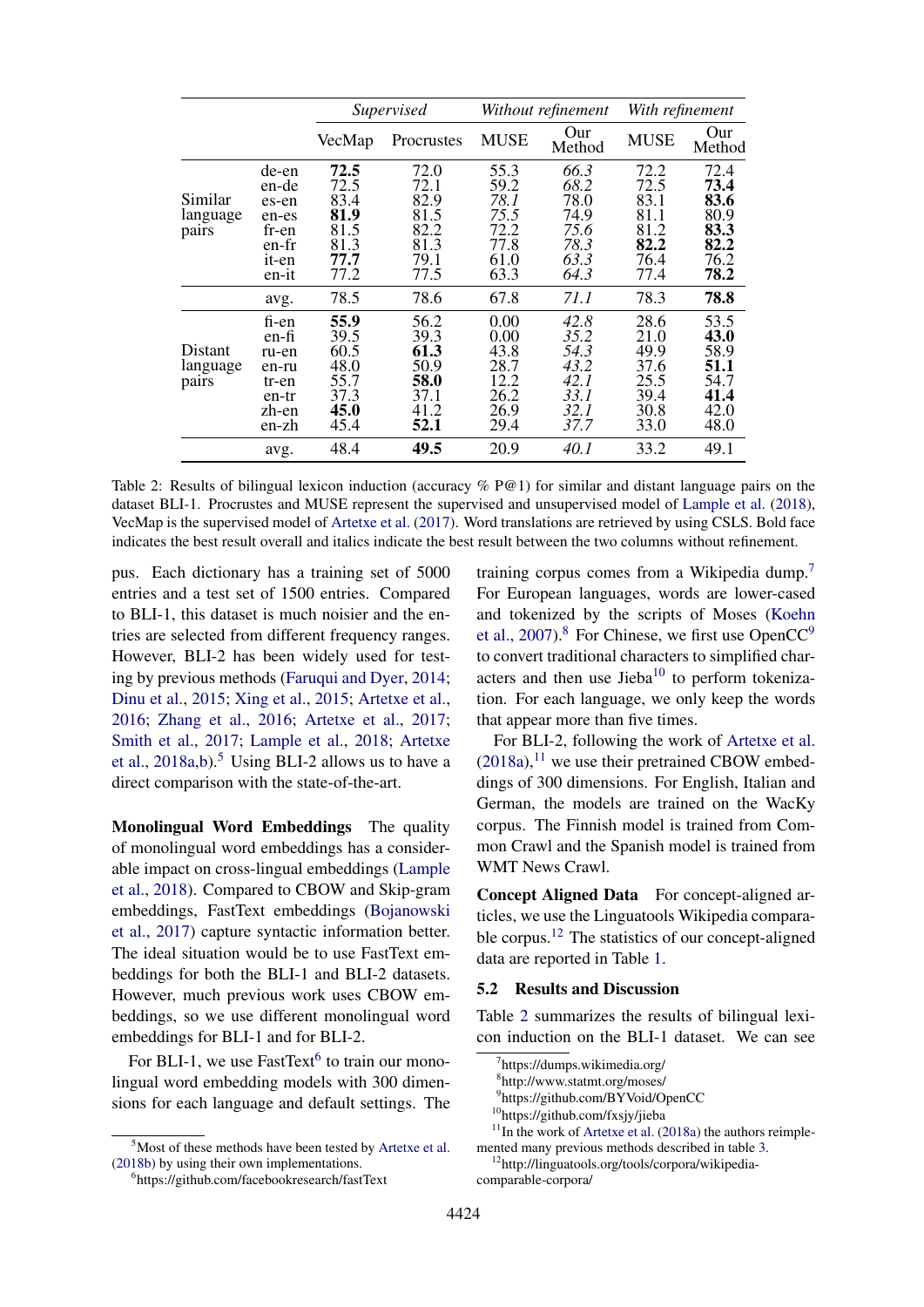<span id="page-5-8"></span>

|                              |                                                                      | Supervised                                                   |                                                              | Without refinement                                           |                                                              | With refinement                                              |                                                              |
|------------------------------|----------------------------------------------------------------------|--------------------------------------------------------------|--------------------------------------------------------------|--------------------------------------------------------------|--------------------------------------------------------------|--------------------------------------------------------------|--------------------------------------------------------------|
|                              |                                                                      | VecMap                                                       | Procrustes                                                   | <b>MUSE</b>                                                  | Our<br>Method                                                | <b>MUSE</b>                                                  | Our<br>Method                                                |
| Similar<br>language<br>pairs | de-en<br>en-de<br>es-en<br>en-es<br>fr-en<br>en-fr<br>it-en<br>en-it | 72.5<br>72.5<br>83.4<br>81.9<br>81.5<br>81.3<br>77.7<br>77.2 | 72.0<br>72.1<br>82.9<br>81.5<br>82.2<br>81.3<br>79.1<br>77.5 | 55.3<br>59.2<br>78.1<br>75.5<br>72.2<br>77.8<br>61.0<br>63.3 | 66.3<br>68.2<br>78.0<br>74.9<br>75.6<br>78.3<br>63.3<br>64.3 | 72.2<br>72.5<br>83.1<br>81.1<br>81.2<br>82.2<br>76.4<br>77.4 | 72.4<br>73.4<br>83.6<br>80.9<br>83.3<br>82.2<br>76.2<br>78.2 |
|                              | avg.                                                                 | 78.5                                                         | 78.6                                                         | 67.8                                                         | 71.1                                                         | 78.3                                                         | 78.8                                                         |
| Distant<br>language<br>pairs | fi-en<br>en-fi<br>ru-en<br>en-ru<br>tr-en<br>en-tr<br>zh-en<br>en-zh | 55.9<br>39.5<br>60.5<br>48.0<br>55.7<br>37.3<br>45.0<br>45.4 | 56.2<br>39.3<br>61.3<br>50.9<br>58.0<br>37.1<br>41.2<br>52.1 | 0.00<br>0.00<br>43.8<br>28.7<br>12.2<br>26.2<br>26.9<br>29.4 | 42.8<br>35.2<br>54.3<br>43.2<br>42.1<br>33.1<br>32.1<br>37.7 | 28.6<br>21.0<br>49.9<br>37.6<br>25.5<br>39.4<br>30.8<br>33.0 | 53.5<br>43.0<br>58.9<br>51.1<br>54.7<br>41.4<br>42.0<br>48.0 |
|                              | avg.                                                                 | 48.4                                                         | 49.5                                                         | 20.9                                                         | 40.1                                                         | 33.2                                                         | 49.1                                                         |

Table 2: Results of bilingual lexicon induction (accuracy % P@1) for similar and distant language pairs on the dataset BLI-1. Procrustes and MUSE represent the supervised and unsupervised model of [Lample et al.](#page-10-7) [\(2018\)](#page-10-7), VecMap is the supervised model of [Artetxe et al.](#page-9-3) [\(2017\)](#page-9-3). Word translations are retrieved by using CSLS. Bold face indicates the best result overall and italics indicate the best result between the two columns without refinement.

pus. Each dictionary has a training set of 5000 entries and a test set of 1500 entries. Compared to BLI-1, this dataset is much noisier and the entries are selected from different frequency ranges. However, BLI-2 has been widely used for testing by previous methods [\(Faruqui and Dyer,](#page-9-1) [2014;](#page-9-1) [Dinu et al.,](#page-9-8) [2015;](#page-9-8) [Xing et al.,](#page-10-9) [2015;](#page-10-9) [Artetxe et al.,](#page-9-7) [2016;](#page-9-7) [Zhang et al.,](#page-10-12) [2016;](#page-10-12) [Artetxe et al.,](#page-9-3) [2017;](#page-9-3) [Smith et al.,](#page-10-5) [2017;](#page-10-5) [Lample et al.,](#page-10-7) [2018;](#page-10-7) [Artetxe](#page-9-11) [et al.,](#page-9-11)  $2018a,b$  $2018a,b$ .<sup>[5](#page-5-0)</sup> Using BLI-2 allows us to have a direct comparison with the state-of-the-art.

Monolingual Word Embeddings The quality of monolingual word embeddings has a considerable impact on cross-lingual embeddings [\(Lample](#page-10-7) [et al.,](#page-10-7) [2018\)](#page-10-7). Compared to CBOW and Skip-gram embeddings, FastText embeddings [\(Bojanowski](#page-9-12) [et al.,](#page-9-12) [2017\)](#page-9-12) capture syntactic information better. The ideal situation would be to use FastText embeddings for both the BLI-1 and BLI-2 datasets. However, much previous work uses CBOW embeddings, so we use different monolingual word embeddings for BLI-1 and for BLI-2.

For BLI-1, we use FastText<sup>[6](#page-5-1)</sup> to train our monolingual word embedding models with 300 dimensions for each language and default settings. The training corpus comes from a Wikipedia dump.[7](#page-5-2) For European languages, words are lower-cased and tokenized by the scripts of Moses [\(Koehn](#page-10-13) [et al.,](#page-10-13) [2007\)](#page-10-13).<sup>[8](#page-5-3)</sup> For Chinese, we first use OpenCC<sup>[9](#page-5-4)</sup> to convert traditional characters to simplified characters and then use Jieba $^{10}$  $^{10}$  $^{10}$  to perform tokenization. For each language, we only keep the words that appear more than five times.

For BLI-2, following the work of [Artetxe et al.](#page-9-11)  $(2018a)$ , <sup>[11](#page-5-6)</sup> we use their pretrained CBOW embeddings of 300 dimensions. For English, Italian and German, the models are trained on the WacKy corpus. The Finnish model is trained from Common Crawl and the Spanish model is trained from WMT News Crawl.

Concept Aligned Data For concept-aligned articles, we use the Linguatools Wikipedia compara-ble corpus.<sup>[12](#page-5-7)</sup> The statistics of our concept-aligned data are reported in Table [1.](#page-4-0)

#### 5.2 Results and Discussion

Table [2](#page-5-8) summarizes the results of bilingual lexicon induction on the BLI-1 dataset. We can see

<span id="page-5-0"></span> $5$ Most of these methods have been tested by [Artetxe et al.](#page-9-10) [\(2018b\)](#page-9-10) by using their own implementations.

<span id="page-5-1"></span><sup>6</sup> https://github.com/facebookresearch/fastText

<span id="page-5-2"></span><sup>7</sup> https://dumps.wikimedia.org/

<span id="page-5-3"></span><sup>8</sup> http://www.statmt.org/moses/

<span id="page-5-4"></span><sup>9</sup> https://github.com/BYVoid/OpenCC

<span id="page-5-6"></span><span id="page-5-5"></span><sup>10</sup>https://github.com/fxsjy/jieba

 $11$ In the work of [Artetxe et al.](#page-9-11) [\(2018a\)](#page-9-11) the authors reimplemented many previous methods described in table [3.](#page-6-0)

<span id="page-5-7"></span><sup>12</sup>http://linguatools.org/tools/corpora/wikipediacomparable-corpora/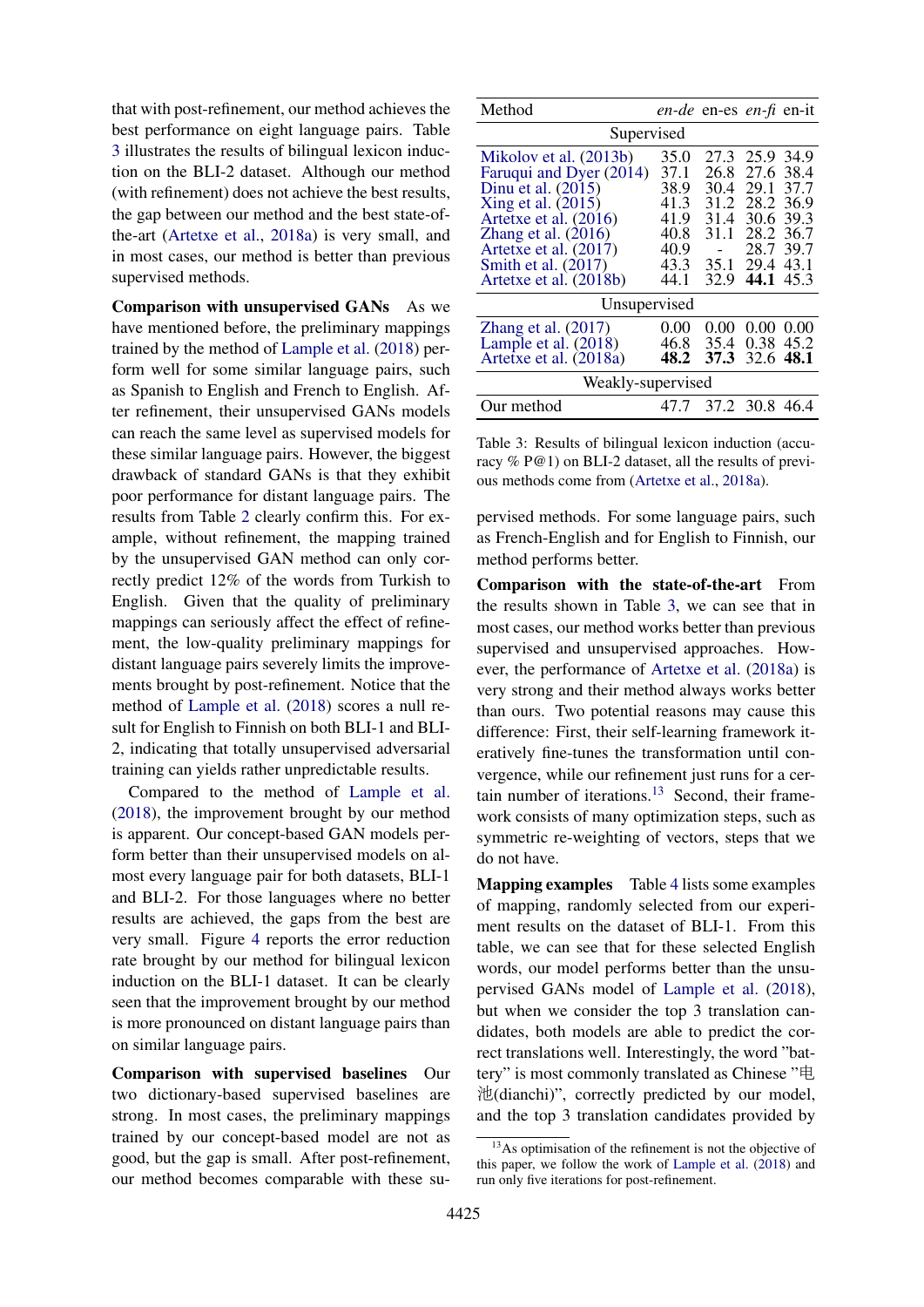that with post-refinement, our method achieves the best performance on eight language pairs. Table [3](#page-6-0) illustrates the results of bilingual lexicon induction on the BLI-2 dataset. Although our method (with refinement) does not achieve the best results, the gap between our method and the best state-ofthe-art [\(Artetxe et al.,](#page-9-11) [2018a\)](#page-9-11) is very small, and in most cases, our method is better than previous supervised methods.

Comparison with unsupervised GANs As we have mentioned before, the preliminary mappings trained by the method of [Lample et al.](#page-10-7) [\(2018\)](#page-10-7) perform well for some similar language pairs, such as Spanish to English and French to English. After refinement, their unsupervised GANs models can reach the same level as supervised models for these similar language pairs. However, the biggest drawback of standard GANs is that they exhibit poor performance for distant language pairs. The results from Table [2](#page-5-8) clearly confirm this. For example, without refinement, the mapping trained by the unsupervised GAN method can only correctly predict 12% of the words from Turkish to English. Given that the quality of preliminary mappings can seriously affect the effect of refinement, the low-quality preliminary mappings for distant language pairs severely limits the improvements brought by post-refinement. Notice that the method of [Lample et al.](#page-10-7) [\(2018\)](#page-10-7) scores a null result for English to Finnish on both BLI-1 and BLI-2, indicating that totally unsupervised adversarial training can yields rather unpredictable results.

Compared to the method of [Lample et al.](#page-10-7) [\(2018\)](#page-10-7), the improvement brought by our method is apparent. Our concept-based GAN models perform better than their unsupervised models on almost every language pair for both datasets, BLI-1 and BLI-2. For those languages where no better results are achieved, the gaps from the best are very small. Figure [4](#page-7-0) reports the error reduction rate brought by our method for bilingual lexicon induction on the BLI-1 dataset. It can be clearly seen that the improvement brought by our method is more pronounced on distant language pairs than on similar language pairs.

Comparison with supervised baselines Our two dictionary-based supervised baselines are strong. In most cases, the preliminary mappings trained by our concept-based model are not as good, but the gap is small. After post-refinement, our method becomes comparable with these su-

<span id="page-6-0"></span>

| Method                                                                                                                                                                                                |                                                              | en-de en-es en-fi en-it                              |                                                                             |                                      |
|-------------------------------------------------------------------------------------------------------------------------------------------------------------------------------------------------------|--------------------------------------------------------------|------------------------------------------------------|-----------------------------------------------------------------------------|--------------------------------------|
| Supervised                                                                                                                                                                                            |                                                              |                                                      |                                                                             |                                      |
| Mikolov et al. (2013b)<br>Faruqui and Dyer (2014)<br>Dinu et al. $(2015)$<br>Xing et al. $(2015)$<br>Artetxe et al. (2016)<br>Zhang et al. $(2016)$<br>Artetxe et al. $(2017)$<br>Smith et al. (2017) | 35.0<br>37.1<br>38.9<br>41.3<br>41.9<br>40.8<br>40.9<br>43.3 | 27.3<br>26.8<br>30.4<br>31.2<br>31.4<br>31.1<br>35.1 | 25.9 34.9<br>27.6<br>29.1<br>28.2 36.9<br>30.6<br>28.2 36.7<br>28.7<br>29.4 | 38.4<br>37.7<br>39.3<br>39.7<br>43.1 |
| Artetxe et al. (2018b)                                                                                                                                                                                | 44.1                                                         | 32.9                                                 | 44.1                                                                        | 45.3                                 |
| Unsupervised                                                                                                                                                                                          |                                                              |                                                      |                                                                             |                                      |
| Zhang et al. $(2017)$<br>Lample et al. $(2018)$<br>Artetxe et al. (2018a)                                                                                                                             | 0.00<br>46.8<br>48.2                                         | 0.00<br>35.4<br>37.3                                 | 0.00<br>0.38<br>32.6 48.1                                                   | 0.00<br>45.2                         |
| Weakly-supervised                                                                                                                                                                                     |                                                              |                                                      |                                                                             |                                      |
| Our method                                                                                                                                                                                            | 47.7                                                         | 37.2 30.8 46.4                                       |                                                                             |                                      |

Table 3: Results of bilingual lexicon induction (accuracy % P@1) on BLI-2 dataset, all the results of previous methods come from [\(Artetxe et al.,](#page-9-11) [2018a\)](#page-9-11).

pervised methods. For some language pairs, such as French-English and for English to Finnish, our method performs better.

Comparison with the state-of-the-art From the results shown in Table [3,](#page-6-0) we can see that in most cases, our method works better than previous supervised and unsupervised approaches. However, the performance of [Artetxe et al.](#page-9-11) [\(2018a\)](#page-9-11) is very strong and their method always works better than ours. Two potential reasons may cause this difference: First, their self-learning framework iteratively fine-tunes the transformation until convergence, while our refinement just runs for a cer-tain number of iterations.<sup>[13](#page-6-1)</sup> Second, their framework consists of many optimization steps, such as symmetric re-weighting of vectors, steps that we do not have.

Mapping examples Table [4](#page-8-0) lists some examples of mapping, randomly selected from our experiment results on the dataset of BLI-1. From this table, we can see that for these selected English words, our model performs better than the unsupervised GANs model of [Lample et al.](#page-10-7) [\(2018\)](#page-10-7), but when we consider the top 3 translation candidates, both models are able to predict the correct translations well. Interestingly, the word "battery" is most commonly translated as Chinese "电 池(dianchi)", correctly predicted by our model, and the top 3 translation candidates provided by

<span id="page-6-1"></span><sup>&</sup>lt;sup>13</sup>As optimisation of the refinement is not the objective of this paper, we follow the work of [Lample et al.](#page-10-7) [\(2018\)](#page-10-7) and run only five iterations for post-refinement.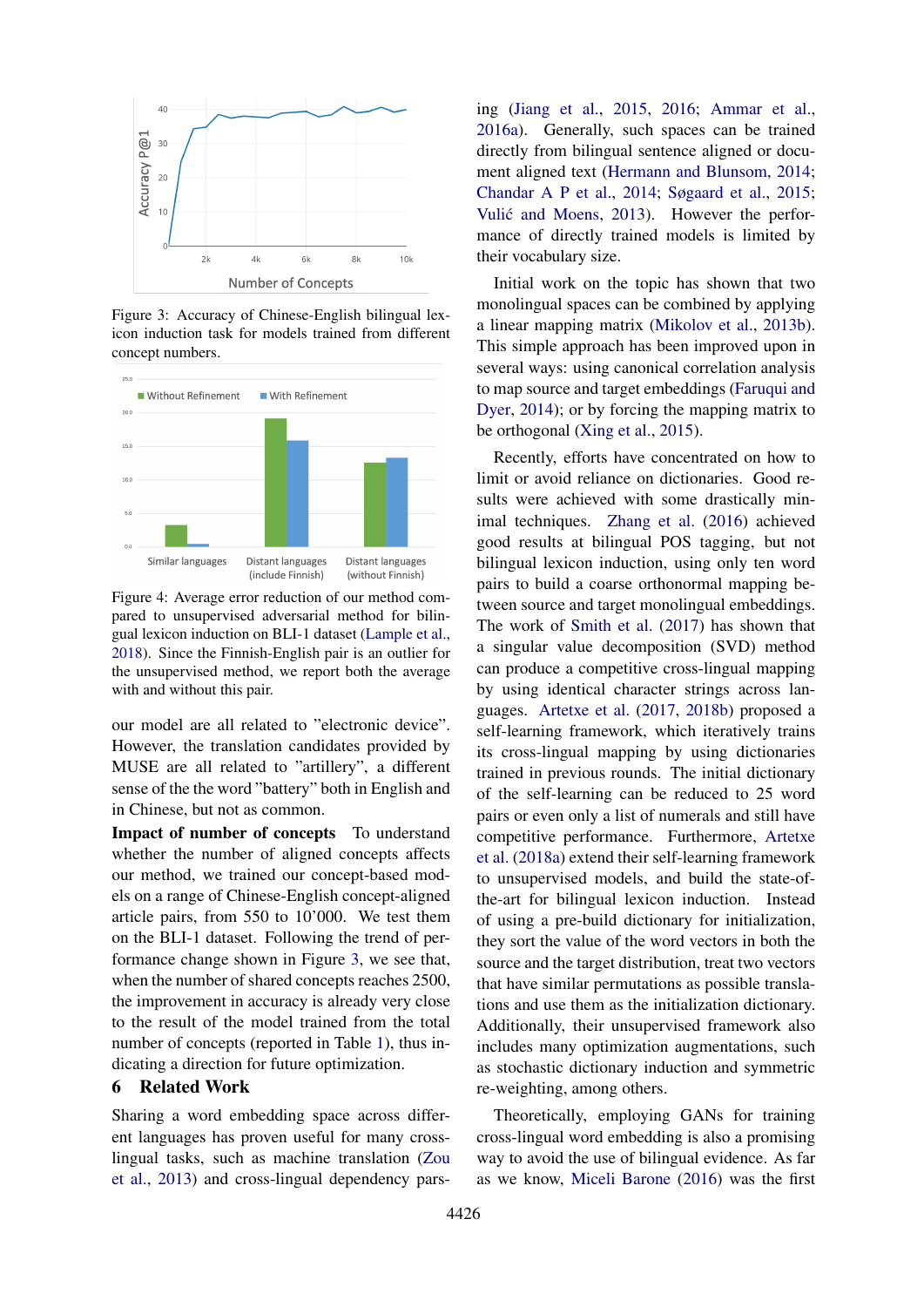<span id="page-7-1"></span>

Figure 3: Accuracy of Chinese-English bilingual lexicon induction task for models trained from different concept numbers.

<span id="page-7-0"></span>

Figure 4: Average error reduction of our method compared to unsupervised adversarial method for bilingual lexicon induction on BLI-1 dataset [\(Lample et al.,](#page-10-7) [2018\)](#page-10-7). Since the Finnish-English pair is an outlier for the unsupervised method, we report both the average with and without this pair.

our model are all related to "electronic device". However, the translation candidates provided by MUSE are all related to "artillery", a different sense of the the word "battery" both in English and in Chinese, but not as common.

Impact of number of concepts To understand whether the number of aligned concepts affects our method, we trained our concept-based models on a range of Chinese-English concept-aligned article pairs, from 550 to 10'000. We test them on the BLI-1 dataset. Following the trend of performance change shown in Figure [3,](#page-7-1) we see that, when the number of shared concepts reaches 2500, the improvement in accuracy is already very close to the result of the model trained from the total number of concepts (reported in Table [1\)](#page-4-0), thus indicating a direction for future optimization.

### 6 Related Work

Sharing a word embedding space across different languages has proven useful for many crosslingual tasks, such as machine translation [\(Zou](#page-11-0) [et al.,](#page-11-0) [2013\)](#page-11-0) and cross-lingual dependency parsing [\(Jiang et al.,](#page-9-13) [2015,](#page-9-13) [2016;](#page-10-14) [Ammar et al.,](#page-9-14) [2016a\)](#page-9-14). Generally, such spaces can be trained directly from bilingual sentence aligned or document aligned text [\(Hermann and Blunsom,](#page-9-15) [2014;](#page-9-15) [Chandar A P et al.,](#page-9-16) [2014;](#page-9-16) [Søgaard et al.,](#page-10-8) [2015;](#page-10-8) Vulić and Moens, [2013\)](#page-10-15). However the performance of directly trained models is limited by their vocabulary size.

Initial work on the topic has shown that two monolingual spaces can be combined by applying a linear mapping matrix [\(Mikolov et al.,](#page-10-4) [2013b\)](#page-10-4). This simple approach has been improved upon in several ways: using canonical correlation analysis to map source and target embeddings [\(Faruqui and](#page-9-1) [Dyer,](#page-9-1) [2014\)](#page-9-1); or by forcing the mapping matrix to be orthogonal [\(Xing et al.,](#page-10-9) [2015\)](#page-10-9).

Recently, efforts have concentrated on how to limit or avoid reliance on dictionaries. Good results were achieved with some drastically minimal techniques. [Zhang et al.](#page-10-12) [\(2016\)](#page-10-12) achieved good results at bilingual POS tagging, but not bilingual lexicon induction, using only ten word pairs to build a coarse orthonormal mapping between source and target monolingual embeddings. The work of [Smith et al.](#page-10-5) [\(2017\)](#page-10-5) has shown that a singular value decomposition (SVD) method can produce a competitive cross-lingual mapping by using identical character strings across languages. [Artetxe et al.](#page-9-3) [\(2017,](#page-9-3) [2018b\)](#page-9-10) proposed a self-learning framework, which iteratively trains its cross-lingual mapping by using dictionaries trained in previous rounds. The initial dictionary of the self-learning can be reduced to 25 word pairs or even only a list of numerals and still have competitive performance. Furthermore, [Artetxe](#page-9-11) [et al.](#page-9-11) [\(2018a\)](#page-9-11) extend their self-learning framework to unsupervised models, and build the state-ofthe-art for bilingual lexicon induction. Instead of using a pre-build dictionary for initialization, they sort the value of the word vectors in both the source and the target distribution, treat two vectors that have similar permutations as possible translations and use them as the initialization dictionary. Additionally, their unsupervised framework also includes many optimization augmentations, such as stochastic dictionary induction and symmetric re-weighting, among others.

Theoretically, employing GANs for training cross-lingual word embedding is also a promising way to avoid the use of bilingual evidence. As far as we know, [Miceli Barone](#page-10-16) [\(2016\)](#page-10-16) was the first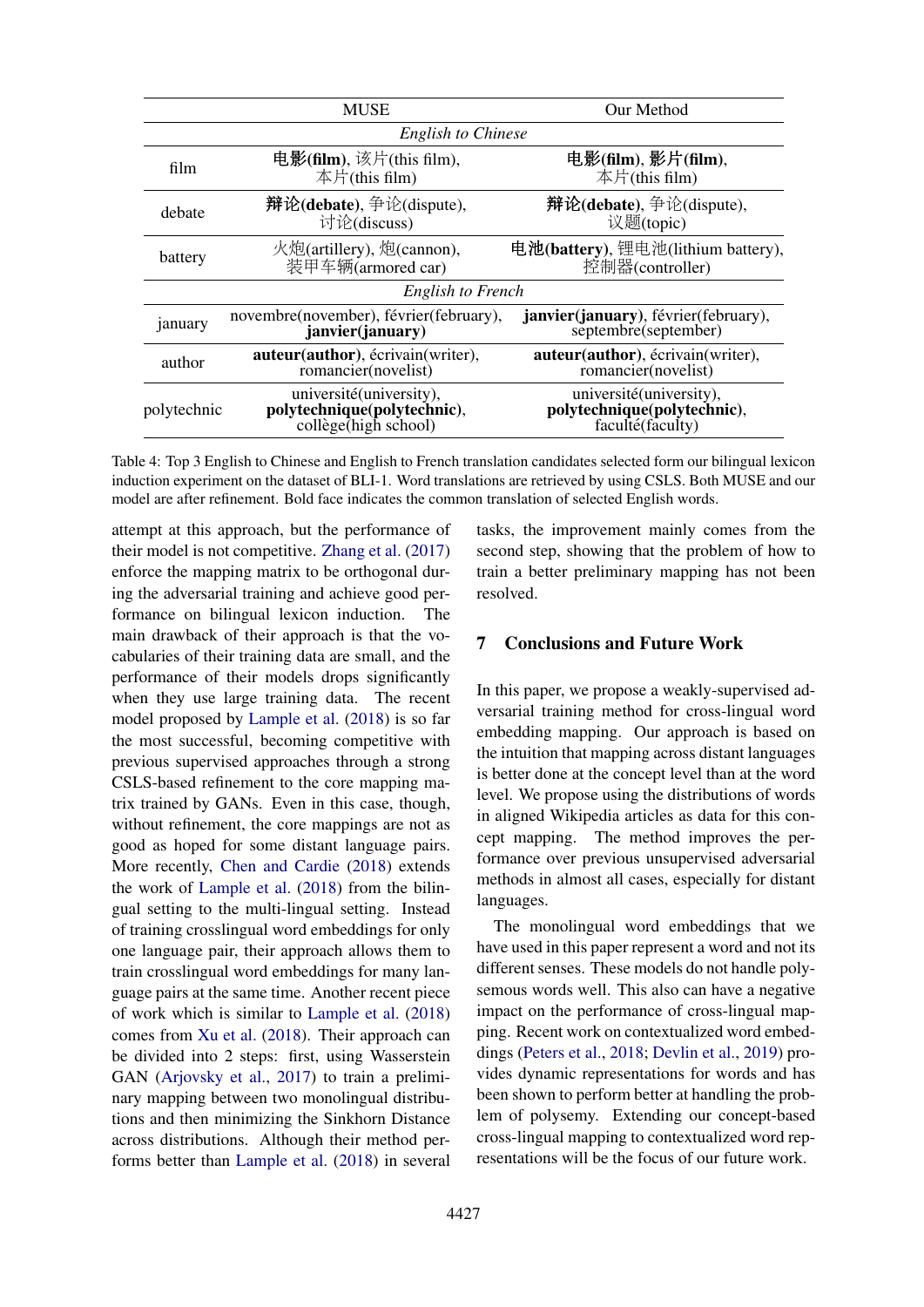<span id="page-8-0"></span>

|                           | <b>MUSE</b>                                                                                    | Our Method                                                                  |  |  |
|---------------------------|------------------------------------------------------------------------------------------------|-----------------------------------------------------------------------------|--|--|
| <b>English to Chinese</b> |                                                                                                |                                                                             |  |  |
| film                      | 电影(film), 该片(this film),<br>本片(this film)                                                      | 电影(film), 影片(film),<br>本片(this film)                                        |  |  |
| debate                    | 辩论(debate), 争论(dispute),<br>讨论(discuss)                                                        | 辩论(debate), 争论(dispute),<br>议题(topic)                                       |  |  |
| battery                   | 火炮(artillery), 炮(cannon),<br>装甲车辆(armored car)                                                 | 电池(battery), 锂电池(lithium battery),<br>控制器(controller)                       |  |  |
| English to French         |                                                                                                |                                                                             |  |  |
| january                   | novembre(november), février(february),<br>janvier(january)                                     | janvier(january), février(february),<br>septembre(september)                |  |  |
| author                    | auteur(author), écrivain(writer),<br>romancier(novelist)                                       | auteur(author), écrivain(writer),<br>romancier(novelist)                    |  |  |
| polytechnic               | université(university),<br>polytechnique(polytechnic),<br>$\text{collège}(\text{high school})$ | université(university),<br>polytechnique(polytechnic),<br>faculté (faculty) |  |  |

Table 4: Top 3 English to Chinese and English to French translation candidates selected form our bilingual lexicon induction experiment on the dataset of BLI-1. Word translations are retrieved by using CSLS. Both MUSE and our model are after refinement. Bold face indicates the common translation of selected English words.

attempt at this approach, but the performance of their model is not competitive. [Zhang et al.](#page-10-6) [\(2017\)](#page-10-6) enforce the mapping matrix to be orthogonal during the adversarial training and achieve good performance on bilingual lexicon induction. main drawback of their approach is that the vocabularies of their training data are small, and the performance of their models drops significantly when they use large training data. The recent model proposed by [Lample et al.](#page-10-7) [\(2018\)](#page-10-7) is so far the most successful, becoming competitive with previous supervised approaches through a strong CSLS-based refinement to the core mapping matrix trained by GANs. Even in this case, though, without refinement, the core mappings are not as good as hoped for some distant language pairs. More recently, [Chen and Cardie](#page-9-6) [\(2018\)](#page-9-6) extends the work of [Lample et al.](#page-10-7) [\(2018\)](#page-10-7) from the bilingual setting to the multi-lingual setting. Instead of training crosslingual word embeddings for only one language pair, their approach allows them to train crosslingual word embeddings for many language pairs at the same time. Another recent piece of work which is similar to [Lample et al.](#page-10-7) [\(2018\)](#page-10-7) comes from [Xu et al.](#page-10-17) [\(2018\)](#page-10-17). Their approach can be divided into 2 steps: first, using Wasserstein GAN [\(Arjovsky et al.,](#page-9-17) [2017\)](#page-9-17) to train a preliminary mapping between two monolingual distributions and then minimizing the Sinkhorn Distance across distributions. Although their method performs better than [Lample et al.](#page-10-7) [\(2018\)](#page-10-7) in several

tasks, the improvement mainly comes from the second step, showing that the problem of how to train a better preliminary mapping has not been resolved.

### 7 Conclusions and Future Work

In this paper, we propose a weakly-supervised adversarial training method for cross-lingual word embedding mapping. Our approach is based on the intuition that mapping across distant languages is better done at the concept level than at the word level. We propose using the distributions of words in aligned Wikipedia articles as data for this concept mapping. The method improves the performance over previous unsupervised adversarial methods in almost all cases, especially for distant languages.

The monolingual word embeddings that we have used in this paper represent a word and not its different senses. These models do not handle polysemous words well. This also can have a negative impact on the performance of cross-lingual mapping. Recent work on contextualized word embeddings [\(Peters et al.,](#page-10-18) [2018;](#page-10-18) [Devlin et al.,](#page-9-18) [2019\)](#page-9-18) provides dynamic representations for words and has been shown to perform better at handling the problem of polysemy. Extending our concept-based cross-lingual mapping to contextualized word representations will be the focus of our future work.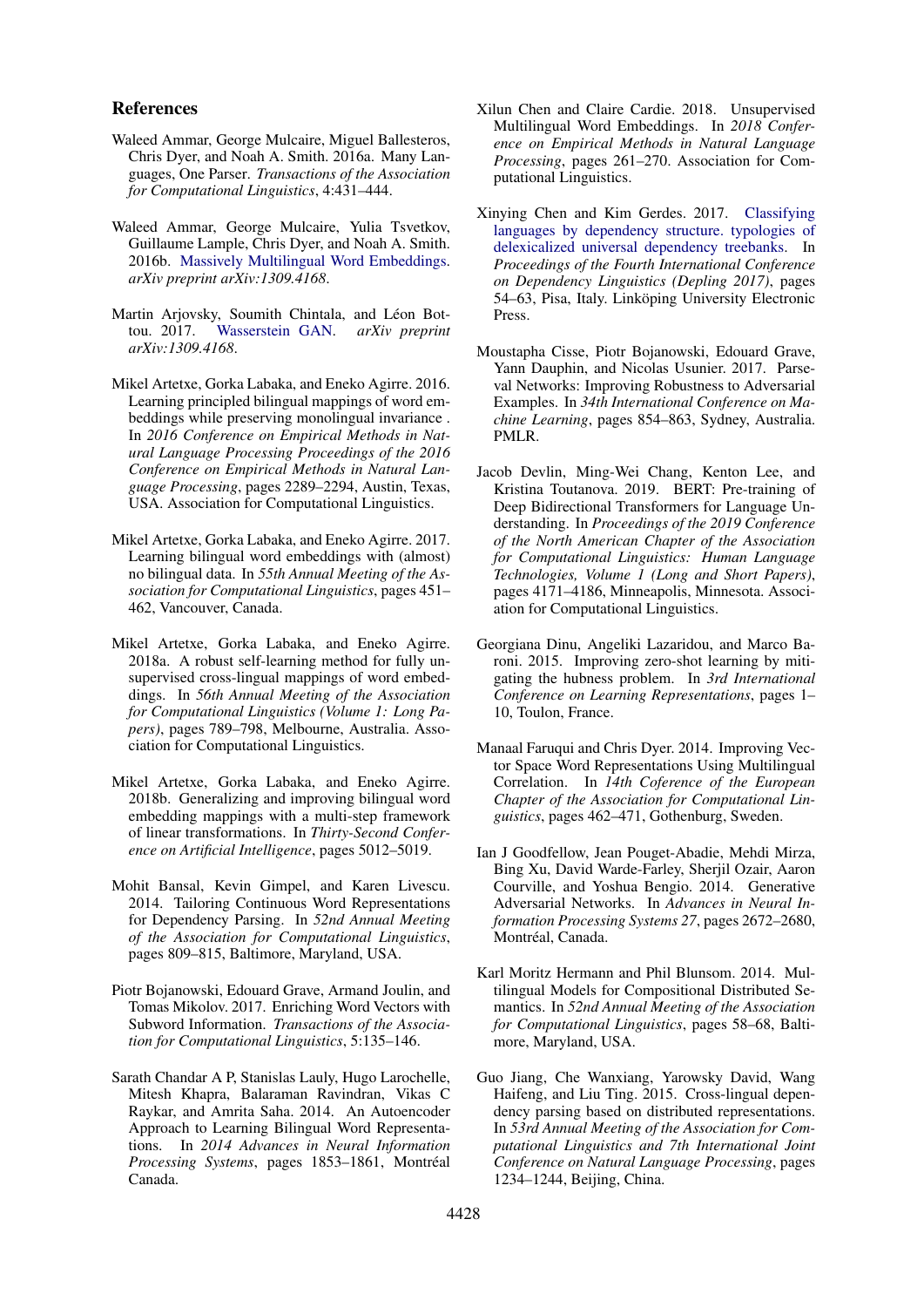#### References

- <span id="page-9-14"></span>Waleed Ammar, George Mulcaire, Miguel Ballesteros, Chris Dyer, and Noah A. Smith. 2016a. Many Languages, One Parser. *Transactions of the Association for Computational Linguistics*, 4:431–444.
- <span id="page-9-2"></span>Waleed Ammar, George Mulcaire, Yulia Tsvetkov, Guillaume Lample, Chris Dyer, and Noah A. Smith. 2016b. [Massively Multilingual Word Embeddings.](http://arxiv.org/abs/1602.01925v2) *arXiv preprint arXiv:1309.4168*.
- <span id="page-9-17"></span>Martin Arjovsky, Soumith Chintala, and Léon Bottou. 2017. [Wasserstein GAN.](http://arxiv.org/abs/1701.07875v2) *arXiv preprint arXiv:1309.4168*.
- <span id="page-9-7"></span>Mikel Artetxe, Gorka Labaka, and Eneko Agirre. 2016. Learning principled bilingual mappings of word embeddings while preserving monolingual invariance . In *2016 Conference on Empirical Methods in Natural Language Processing Proceedings of the 2016 Conference on Empirical Methods in Natural Language Processing*, pages 2289–2294, Austin, Texas, USA. Association for Computational Linguistics.
- <span id="page-9-3"></span>Mikel Artetxe, Gorka Labaka, and Eneko Agirre. 2017. Learning bilingual word embeddings with (almost) no bilingual data. In *55th Annual Meeting of the Association for Computational Linguistics*, pages 451– 462, Vancouver, Canada.
- <span id="page-9-11"></span>Mikel Artetxe, Gorka Labaka, and Eneko Agirre. 2018a. A robust self-learning method for fully unsupervised cross-lingual mappings of word embeddings. In *56th Annual Meeting of the Association for Computational Linguistics (Volume 1: Long Papers)*, pages 789–798, Melbourne, Australia. Association for Computational Linguistics.
- <span id="page-9-10"></span>Mikel Artetxe, Gorka Labaka, and Eneko Agirre. 2018b. Generalizing and improving bilingual word embedding mappings with a multi-step framework of linear transformations. In *Thirty-Second Conference on Artificial Intelligence*, pages 5012–5019.
- <span id="page-9-0"></span>Mohit Bansal, Kevin Gimpel, and Karen Livescu. 2014. Tailoring Continuous Word Representations for Dependency Parsing. In *52nd Annual Meeting of the Association for Computational Linguistics*, pages 809–815, Baltimore, Maryland, USA.
- <span id="page-9-12"></span>Piotr Bojanowski, Edouard Grave, Armand Joulin, and Tomas Mikolov. 2017. Enriching Word Vectors with Subword Information. *Transactions of the Association for Computational Linguistics*, 5:135–146.
- <span id="page-9-16"></span>Sarath Chandar A P, Stanislas Lauly, Hugo Larochelle, Mitesh Khapra, Balaraman Ravindran, Vikas C Raykar, and Amrita Saha. 2014. An Autoencoder Approach to Learning Bilingual Word Representations. In *2014 Advances in Neural Information* Processing Systems, pages 1853-1861, Montréal Canada.
- <span id="page-9-6"></span>Xilun Chen and Claire Cardie. 2018. Unsupervised Multilingual Word Embeddings. In *2018 Conference on Empirical Methods in Natural Language Processing*, pages 261–270. Association for Computational Linguistics.
- <span id="page-9-9"></span>Xinying Chen and Kim Gerdes. 2017. [Classifying](https://www.aclweb.org/anthology/W17-6508) [languages by dependency structure. typologies of](https://www.aclweb.org/anthology/W17-6508) [delexicalized universal dependency treebanks.](https://www.aclweb.org/anthology/W17-6508) In *Proceedings of the Fourth International Conference on Dependency Linguistics (Depling 2017)*, pages 54–63, Pisa, Italy. Linköping University Electronic Press.
- <span id="page-9-5"></span>Moustapha Cisse, Piotr Bojanowski, Edouard Grave, Yann Dauphin, and Nicolas Usunier. 2017. Parseval Networks: Improving Robustness to Adversarial Examples. In *34th International Conference on Machine Learning*, pages 854–863, Sydney, Australia. PMLR.
- <span id="page-9-18"></span>Jacob Devlin, Ming-Wei Chang, Kenton Lee, and Kristina Toutanova. 2019. BERT: Pre-training of Deep Bidirectional Transformers for Language Understanding. In *Proceedings of the 2019 Conference of the North American Chapter of the Association for Computational Linguistics: Human Language Technologies, Volume 1 (Long and Short Papers)*, pages 4171–4186, Minneapolis, Minnesota. Association for Computational Linguistics.
- <span id="page-9-8"></span>Georgiana Dinu, Angeliki Lazaridou, and Marco Baroni. 2015. Improving zero-shot learning by mitigating the hubness problem. In *3rd International Conference on Learning Representations*, pages 1– 10, Toulon, France.
- <span id="page-9-1"></span>Manaal Faruqui and Chris Dyer. 2014. Improving Vector Space Word Representations Using Multilingual Correlation. In *14th Coference of the European Chapter of the Association for Computational Linguistics*, pages 462–471, Gothenburg, Sweden.
- <span id="page-9-4"></span>Ian J Goodfellow, Jean Pouget-Abadie, Mehdi Mirza, Bing Xu, David Warde-Farley, Sherjil Ozair, Aaron Courville, and Yoshua Bengio. 2014. Generative Adversarial Networks. In *Advances in Neural Information Processing Systems 27*, pages 2672–2680, Montréal, Canada.
- <span id="page-9-15"></span>Karl Moritz Hermann and Phil Blunsom. 2014. Multilingual Models for Compositional Distributed Semantics. In *52nd Annual Meeting of the Association for Computational Linguistics*, pages 58–68, Baltimore, Maryland, USA.
- <span id="page-9-13"></span>Guo Jiang, Che Wanxiang, Yarowsky David, Wang Haifeng, and Liu Ting. 2015. Cross-lingual dependency parsing based on distributed representations. In *53rd Annual Meeting of the Association for Computational Linguistics and 7th International Joint Conference on Natural Language Processing*, pages 1234–1244, Beijing, China.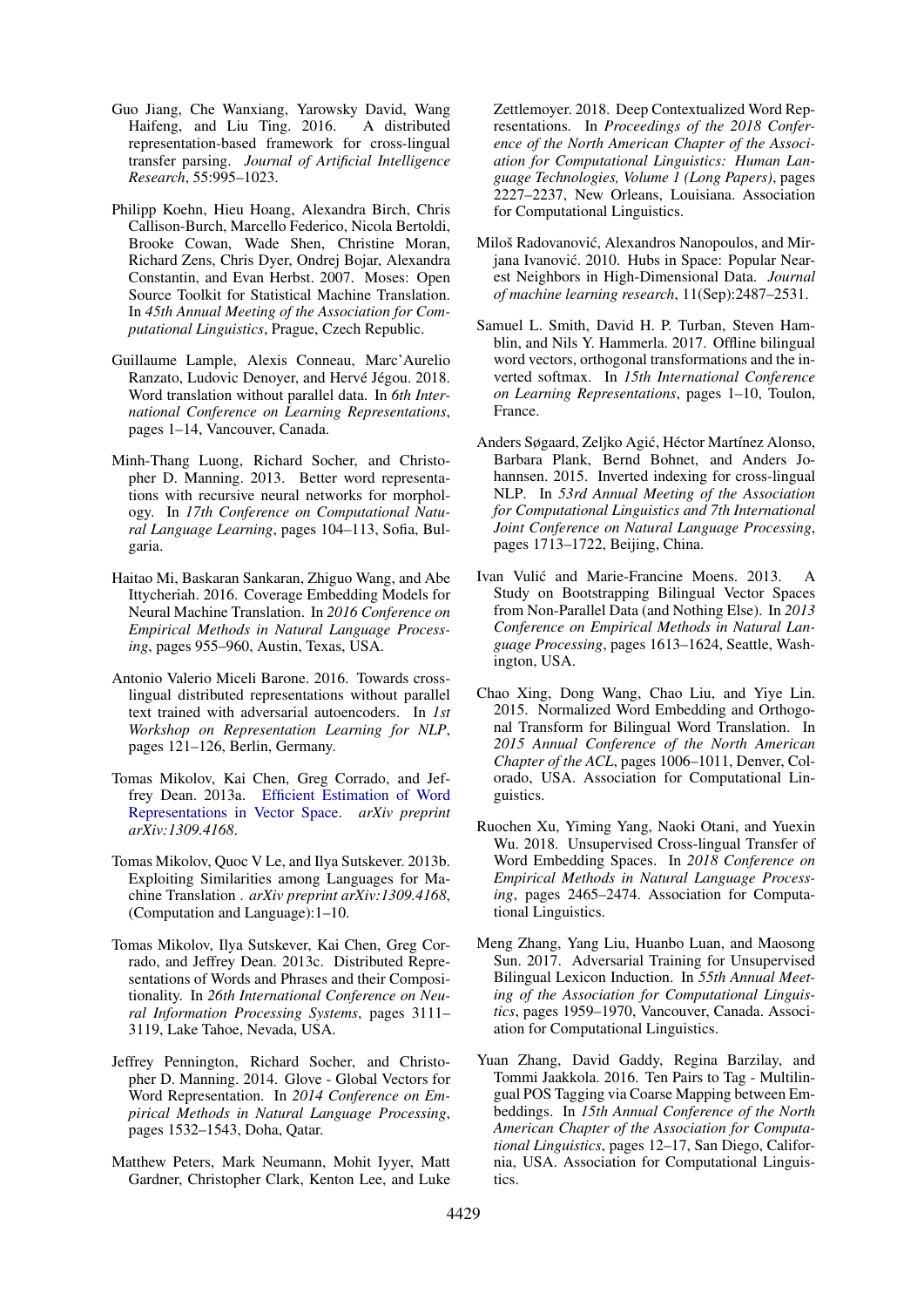- <span id="page-10-14"></span>Guo Jiang, Che Wanxiang, Yarowsky David, Wang Haifeng, and Liu Ting. 2016. A distributed representation-based framework for cross-lingual transfer parsing. *Journal of Artificial Intelligence Research*, 55:995–1023.
- <span id="page-10-13"></span>Philipp Koehn, Hieu Hoang, Alexandra Birch, Chris Callison-Burch, Marcello Federico, Nicola Bertoldi, Brooke Cowan, Wade Shen, Christine Moran, Richard Zens, Chris Dyer, Ondrej Bojar, Alexandra Constantin, and Evan Herbst. 2007. Moses: Open Source Toolkit for Statistical Machine Translation. In *45th Annual Meeting of the Association for Computational Linguistics*, Prague, Czech Republic.
- <span id="page-10-7"></span>Guillaume Lample, Alexis Conneau, Marc'Aurelio Ranzato, Ludovic Denoyer, and Hervé Jégou. 2018. Word translation without parallel data. In *6th International Conference on Learning Representations*, pages 1–14, Vancouver, Canada.
- <span id="page-10-11"></span>Minh-Thang Luong, Richard Socher, and Christopher D. Manning. 2013. Better word representations with recursive neural networks for morphology. In *17th Conference on Computational Natural Language Learning*, pages 104–113, Sofia, Bulgaria.
- <span id="page-10-3"></span>Haitao Mi, Baskaran Sankaran, Zhiguo Wang, and Abe Ittycheriah. 2016. Coverage Embedding Models for Neural Machine Translation. In *2016 Conference on Empirical Methods in Natural Language Processing*, pages 955–960, Austin, Texas, USA.
- <span id="page-10-16"></span>Antonio Valerio Miceli Barone. 2016. Towards crosslingual distributed representations without parallel text trained with adversarial autoencoders. In *1st Workshop on Representation Learning for NLP*, pages 121–126, Berlin, Germany.
- <span id="page-10-0"></span>Tomas Mikolov, Kai Chen, Greg Corrado, and Jeffrey Dean. 2013a. [Efficient Estimation of Word](http://arxiv.org/abs/1301.3781v3) [Representations in Vector Space.](http://arxiv.org/abs/1301.3781v3) *arXiv preprint arXiv:1309.4168*.
- <span id="page-10-4"></span>Tomas Mikolov, Quoc V Le, and Ilya Sutskever. 2013b. Exploiting Similarities among Languages for Machine Translation . *arXiv preprint arXiv:1309.4168*, (Computation and Language):1–10.
- <span id="page-10-1"></span>Tomas Mikolov, Ilya Sutskever, Kai Chen, Greg Corrado, and Jeffrey Dean. 2013c. Distributed Representations of Words and Phrases and their Compositionality. In *26th International Conference on Neural Information Processing Systems*, pages 3111– 3119, Lake Tahoe, Nevada, USA.
- <span id="page-10-2"></span>Jeffrey Pennington, Richard Socher, and Christopher D. Manning. 2014. Glove - Global Vectors for Word Representation. In *2014 Conference on Empirical Methods in Natural Language Processing*, pages 1532–1543, Doha, Qatar.
- <span id="page-10-18"></span>Matthew Peters, Mark Neumann, Mohit Iyyer, Matt Gardner, Christopher Clark, Kenton Lee, and Luke

Zettlemoyer. 2018. Deep Contextualized Word Representations. In *Proceedings of the 2018 Conference of the North American Chapter of the Association for Computational Linguistics: Human Language Technologies, Volume 1 (Long Papers)*, pages 2227–2237, New Orleans, Louisiana. Association for Computational Linguistics.

- <span id="page-10-10"></span>Miloš Radovanović, Alexandros Nanopoulos, and Mirjana Ivanović. 2010. Hubs in Space: Popular Nearest Neighbors in High-Dimensional Data. *Journal of machine learning research*, 11(Sep):2487–2531.
- <span id="page-10-5"></span>Samuel L. Smith, David H. P. Turban, Steven Hamblin, and Nils Y. Hammerla. 2017. Offline bilingual word vectors, orthogonal transformations and the inverted softmax. In *15th International Conference on Learning Representations*, pages 1–10, Toulon, France.
- <span id="page-10-8"></span>Anders Søgaard, Zeljko Agić, Héctor Martínez Alonso, Barbara Plank, Bernd Bohnet, and Anders Johannsen. 2015. Inverted indexing for cross-lingual NLP. In *53rd Annual Meeting of the Association for Computational Linguistics and 7th International Joint Conference on Natural Language Processing*, pages 1713–1722, Beijing, China.
- <span id="page-10-15"></span>Ivan Vulić and Marie-Francine Moens. 2013. A Study on Bootstrapping Bilingual Vector Spaces from Non-Parallel Data (and Nothing Else). In *2013 Conference on Empirical Methods in Natural Language Processing*, pages 1613–1624, Seattle, Washington, USA.
- <span id="page-10-9"></span>Chao Xing, Dong Wang, Chao Liu, and Yiye Lin. 2015. Normalized Word Embedding and Orthogonal Transform for Bilingual Word Translation. In *2015 Annual Conference of the North American Chapter of the ACL*, pages 1006–1011, Denver, Colorado, USA. Association for Computational Linguistics.
- <span id="page-10-17"></span>Ruochen Xu, Yiming Yang, Naoki Otani, and Yuexin Wu. 2018. Unsupervised Cross-lingual Transfer of Word Embedding Spaces. In *2018 Conference on Empirical Methods in Natural Language Processing*, pages 2465–2474. Association for Computational Linguistics.
- <span id="page-10-6"></span>Meng Zhang, Yang Liu, Huanbo Luan, and Maosong Sun. 2017. Adversarial Training for Unsupervised Bilingual Lexicon Induction. In *55th Annual Meeting of the Association for Computational Linguistics*, pages 1959–1970, Vancouver, Canada. Association for Computational Linguistics.
- <span id="page-10-12"></span>Yuan Zhang, David Gaddy, Regina Barzilay, and Tommi Jaakkola. 2016. Ten Pairs to Tag - Multilingual POS Tagging via Coarse Mapping between Embeddings. In *15th Annual Conference of the North American Chapter of the Association for Computational Linguistics*, pages 12–17, San Diego, California, USA. Association for Computational Linguistics.